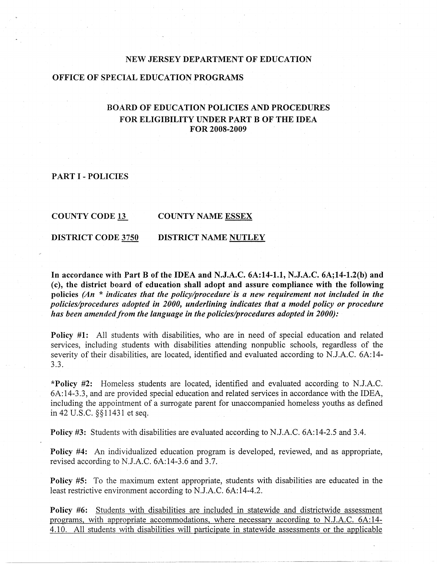### **NEW JERSEY DEPARTMENT OF EDUCATION**

## **OFFICE OF SPECIAL EDUCATION PROGRAMS**

# **BOARD OF EDUCATION POLICIES AND PROCEDURES FOR ELIGIBILITY UNDER PART B OF THE IDEA FOR 2008-2009**

**PART** I **-POLICIES** 

**COUNTY CODE 13** 

#### **COUNTY NAME ESSEX**

**DISTRICT CODE 3750 DISTRICT NAME NUTLEY** 

**In accordance with Part B of the IDEA and N.J.A.C. 6A:14-1.1, N.J.A.C. 6A;14-1.2(b) and (c), the district board of education shall adopt and assure compliance with the following**  policies (An \* *indicates that the policy/procedure* is a new requirement not included in the *policies/procedures adopted in 2000, underlining indicates that a model policy or procedure has been amended from the language in the policies/procedures adopted in 2000):* 

**Policy #1:** All students with disabilities, who are in need of special education and related services, including students with disabilities attending nonpublic schools, regardless of the severity of their disabilities, are located, identified and evaluated according to N.J.A.C. 6A:14-3.3.

**\*Policy #2:** Homeless students are located, identified and evaluated according to N.J.A.C. 6A:14-3.3, and are provided special education and related services in accordance with the IDEA, including the appointment of a surrogate parent for unaccompanied homeless youths as defined in 42 U.S.C. §§11431 et seq.

**Policy #3:** Students with disabilities are evaluated according to N.J.A.C. 6A:14-2.5 and 3.4.

**Policy #4:** An individualized education program is developed, reviewed, and as appropriate, revised according to N.J.A.C. 6A:14-3.6 and 3.7.

**Policy #5:** To the maximum extent appropriate, students with disabilities are educated in the least restrictive environment according to N.J.A.C. 6A:14-4.2.

**Policy #6:** Students with disabilities are included in statewide and districtwide assessment programs, with appropriate accommodations, where necessary according to N.J.A.C. 6A:14- 4.10. All students with disabilities will participate in statewide assessments or the applicable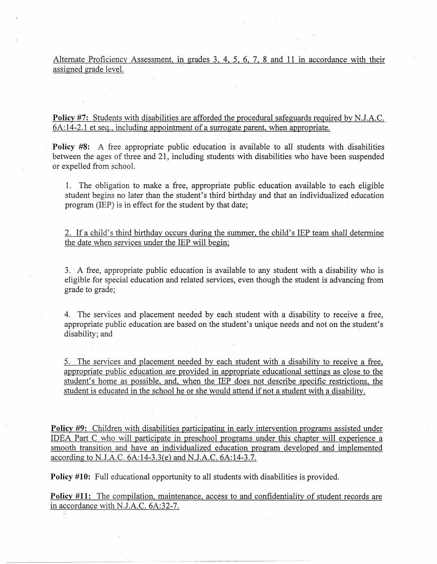Alternate Proficiency Assessment, in grades 3, 4, 5, 6, 7, 8 and 11 in accordance with their assigned grade level.

**Policy** #7: Students with disabilities are afforded the procedural safeguards required by N.J.A.C. 6A:14-2.1 et seq., including appointment of a surrogate parent, when appropriate.

**Policy #8:** A free appropriate public education is available to all students with disabilities between the ages of three and 21, including students with disabilities who have been suspended or expelled from school.

1. The obligation to make a free, appropriate public education available to each eligible student begins no later than the student's third birthday and that an individualized education program (IEP) is in effect for the student by that date;

2. If a child's third birthday occurs during the summer, the child's IEP team shall determine the date when services under the IEP will begin:

3. · A free, appropriate public education is available to any student with a disability who is eligible for special education and related services, even though the student is advancing from grade to grade;

4. The services and placement needed by each student with a disability to receive a free, appropriate public education are based on the student's unique needs and not on the student's disability; and

5. The services and placement needed by each student with a disability to receive a free, appropriate public education are provided in appropriate educational settings as close to the student's home as possible, and, when the IEP does not describe specific restrictions, the student is educated in the school he or she would attend if not a student with a disability.

**Policy #9:** Children with disabilities participating in early intervention programs assisted under IDEA Part C who will participate in preschool programs under this chapter will experience a smooth transition and have an individualized education program developed and implemented according to N.J.A.C. 6A:14-3.3(e) and N.J.A.C. 6A:14-3.7.

**Policy #10:** Full educational opportunity to all students with disabilities is provided.

**Policy #11:** The compilation, maintenance, access to and confidentiality of student records are in accordance with N.J.A.C. 6A:32-7.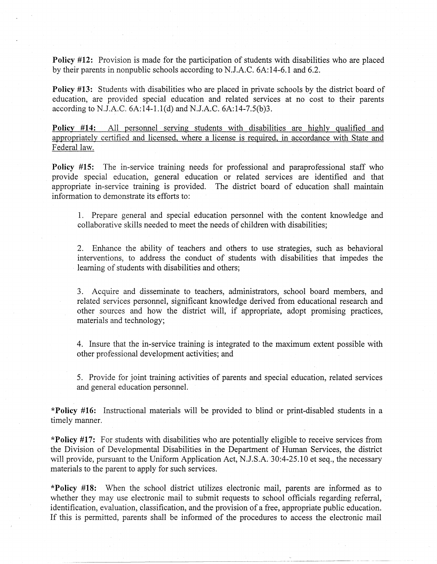**Policy #12:** Provision is made for the participation of students with disabilities who are placed by their parents in nonpublic schools according to N.J.A.C. 6A:14-6. l and 6.2.

**Policy #13:** Students with disabilities who are placed in private schools by the district board of education, are provided special education and related services at no cost to their parents according to N.J.A.C. 6A:14-l.l(d) and N.J.A.C. 6A:14-7.5(b)3.

**Policy #14:** All personnel serving students with disabilities are highly qualified and appropriately certified and licensed, where a license is required, in accordance with State and Federal law.

**Policy #15:** The in-service training needs for professional and paraprofessional staff who provide special education, general education or related services are identified and that appropriate in-service training is provided. The district board of education shall maintain information to demonstrate its efforts to:

1. Prepare general and special education personnel with the content knowledge and collaborative skills needed to meet the needs of children with disabilities;

2. Enhance the ability of teachers and others to use strategies, such as behavioral interventions, to address the conduct of students with disabilities that impedes the learning of students with disabilities and others;

3. Acquire and disseminate to teachers, administrators, school board members, and related services personnel, significant knowledge derived from educational research and other sources and how the district will, if appropriate, adopt promising practices, materials and technology;

4. Insure that the in-service training is integrated to the maximum extent possible with other professional development activities; and

5. Provide for joint training activities of parents and special education, related services and general education personnel.

**\*Policy #16:** Instructional materials will be provided to blind or print-disabled students in a timely manner.

**\*Policy #17:** For students with disabilities who are potentially eligible to receive services from the Division of Developmental Disabilities in the Department of Human Services, the district will provide, pursuant to the Uniform Application Act, N.J.S.A. 30:4-25.10 et seq., the necessary materials to the parent to apply for such services.

**\*Policy #18:** When the school district utilizes electronic mail, parents are informed as to whether they may use electronic mail to submit requests to school officials regarding referral, identification, evaluation, classification, and the provision of a free, appropriate public education. If this is permitted, parents shall be informed of the procedures to access the electronic mail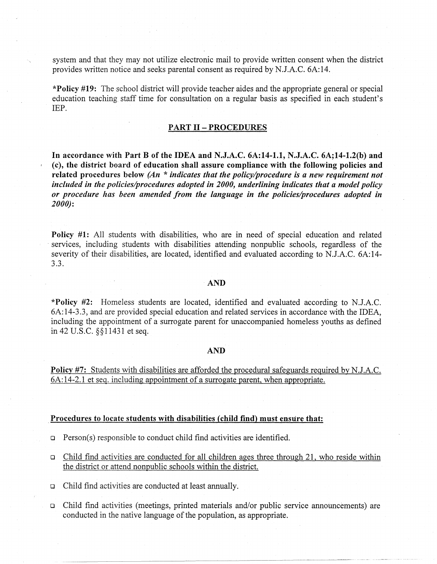system and that they may not utilize electronic mail to provide written consent when the district provides written notice and seeks parental consent as required by N.J.A.C. 6A:14.

**\*Policy #19:** The school district will provide teacher aides and the appropriate general or special education teaching staff time for consultation on a regular basis as specified in each student's IEP.

# **PART II-PROCEDURES**

In **accordance with Part B of the IDEA and N.J.A.C. 6A:14-1.1, N.J.A.C. 6A;14-l.2(b) and (c), the district board of education shall assure compliance with the following policies and related procedures below** *(An* \* *indicates that the policy/procedure is a new requirement not included in the policies/procedures adopted in 2000, underlining indicates that a model policy or procedure has been amended from the language in the policies/procedures adopted in 2000):* 

Policy #1: All students with disabilities, who are in need of special education and related services, including students with disabilities attending nonpublic schools, regardless of the severity of their disabilities, are located, identified and evaluated according to N.J.A.C. 6A:14-3.3.

#### **AND**

**\*Policy #2:** Homeless students are located, identified and evaluated according to N.J.A.C. 6A:14-3.3, and are provided special education and related services in accordance with the IDEA, including the appointment of a surrogate parent for unaccompanied homeless youths as defined in 42 U.S.C. §§ 11431 et seq.

#### **AND**

**Policy #7:** Students with disabilities are afforded the procedural safeguards required by N.J.A.C. 6A: 14-2.1 et seq. including appointment of a surrogate parent, when appropriate .

#### Procedures to locate students with disabilities (child find) must ensure that:

- $\Box$  Person(s) responsible to conduct child find activities are identified.
- $\Box$  Child find activities are conducted for all children ages three through 21, who reside within the district or attend nonpublic schools within the district.
- o Child find activities are conducted at least annually.
- o Child find activities (meetings, printed materials and/or public service announcements) are conducted in the native language of the population, as appropriate.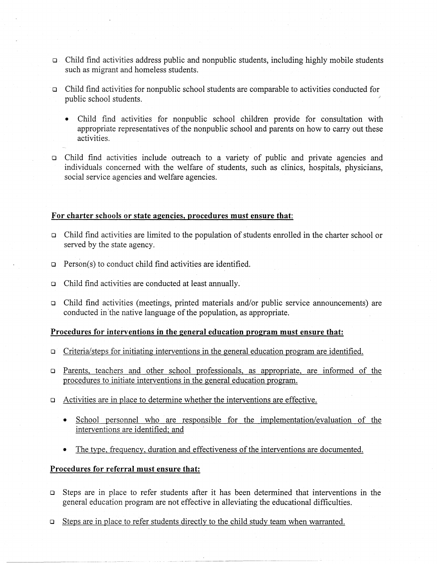- o. Child find activities address public and nonpublic students, including highly mobile students such as migrant and homeless students.
- · o Child find activities for nonpublic school students are comparable to activities conducted for public school students. *)* 
	- Child find activities for nonpublic school children provide for consultation with appropriate representatives of the nonpublic school and parents on how to carry out these activities.
- o Child find activities include outreach to a variety of public and private agencies and individuals concerned with the welfare of students, such as clinics, hospitals, physicians, social service agencies and welfare agencies.

### **For charter schools or state agencies, procedures must ensure that:**

- o Child find activities are limited to the population of students emolled in the charter school or served by the state agency.
- $\Box$  Person(s) to conduct child find activities are identified.
- o Child find activities are conducted at least annually.
- o Child find activities (meetings, printed materials and/or public service announcements) are conducted in 'the native language of the population, as appropriate.

# **Procedures for interventions** in **the general education program must ensure that:**

- o Criteria/steps for initiating interventions in the general education program are identified.
- o Parents. teachers and other school professionals, as appropriate, are informed of the procedures to initiate interventions in the general education program.
- o Activities are in place to determine whether the interventions are effective.
	- School personnel who are responsible for the implementation/evaluation of the interventions are identified; and
	- The type, frequency, duration and effectiveness of the interventions are documented.

# **Procedures for referral must ensure that:**

--------------••s--------•••-··---•··· ·---··------·- -----·---------------

- o Steps are in place to refer students after it has been determined that interventions in the general education program are not effective in alleviating the educational difficulties.
- $\Box$  Steps are in place to refer students directly to the child study team when warranted.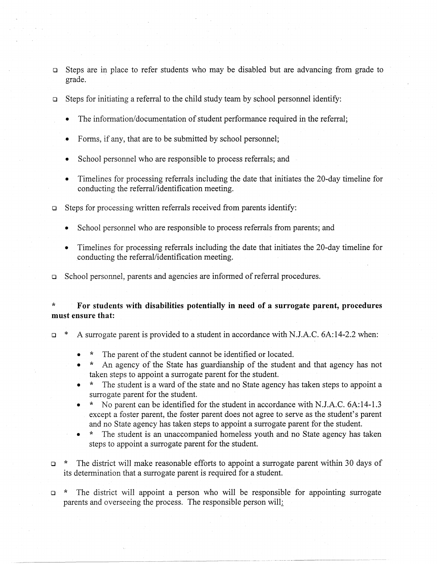- Steps are in place to refer students who may be disabled but are advancing from grade to grade.
- o Steps for initiating a referral to the child study team by school personnel identify:
	- The information/documentation of student performance required in the referral;
	- Forms, if any, that are to be submitted by school personnel;
	- School personnel who are responsible to process referrals; and
	- Timelines for processing referrals including the date that initiates the 20-day timeline for conducting the referral/identification meeting.
- o Steps for processing written referrals received from parents identify:
	- School personnel who are responsible to process referrals from parents; and
	- Timelines for processing referrals including the date that initiates the 20-day timeline for conducting the referral/identification meeting.

o School personnel, parents and agencies are informed of referral procedures.

# \* **For students with disabilities potentially in need of a surrogate parent, procedures must ensure that:**

- o \* A surrogate parent is provided to a student in accordance with N.J.A.C. 6A:14-2.2 when:
	- \* The parent of the student cannot be identified or located.
	- \* An agency of the State has guardianship of the student and that agency has not taken steps to appoint a surrogate parent for the student.
	- \* The student is a ward of the state and no State agency has taken steps to appoint a surrogate parent for the student.
	- \* No parent can be identified for the student in accordance with N.J.A.C. 6A:14-1.3 except a foster parent, the foster parent does not agree to serve as the student's parent and no State agency has taken steps to appoint a surrogate parent for the student.
	- The student is an unaccompanied homeless youth and no State agency has taken steps to appoint a surrogate parent for the student.
- o \* The district will make reasonable efforts to appoint a surrogate parent within 30 days of its determination that a surrogate parent is required for a student.

o \* The district will appoint a person who will be responsible for appointing surrogate parents and overseeing the process. The responsible person will: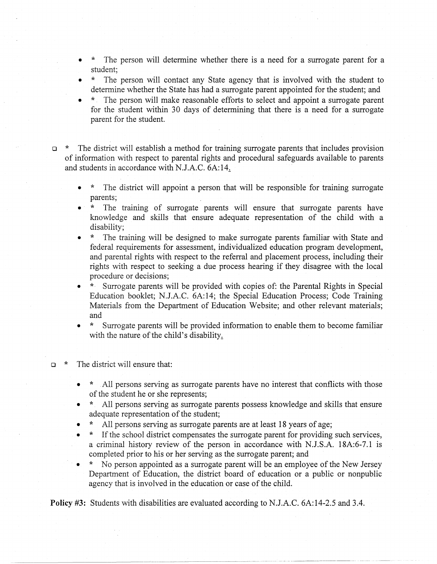- The person will determine whether there is a need for a surrogate parent for a student;
- The person will contact any State agency that is involved with the student to determine whether the State has had a surrogate parent appointed for the student; and
- \* The person will make reasonable efforts to select and appoint a surrogate parent for the student within 30 days of determining that there is a need for a surrogate parent for the student.
- $\Box$  \* The district will establish a method for training surrogate parents that includes provision of information with respect to parental rights and procedural safeguards available to parents and students in accordance with N.J.A.C. 6A:14,
	- The district will appoint a person that will be responsible for training surrogate parents;
	- \* The training of surrogate parents will ensure that surrogate parents have knowledge and skills that ensure adequate representation of the child with a disability;
	- \* The training will be designed to make surrogate parents familiar with State and federal requirements for assessment, individualized education program development, and parental rights with respect to the referral and placement process, including their rights with respect to seeking a due process hearing if they disagree with the local procedure or decisions;
	- \*· Surrogate parents will be provided with copies of: the Parental Rights in Special Education booklet; N.J.A.C. 6A:14; the Special Education Process; Code Training Materials from the Department of Education Website; and other relevant materials; and
	- \* Surrogate parents will be provided information to enable them to become familiar with the nature of the child's disability.

# $\Box$  \* The district will ensure that:

- \* All persons serving as surrogate parents have no interest that conflicts with those of the student he or she represents;
- \* All persons serving as surrogate parents possess knowledge and skills that ensure adequate representation of the student;
- All persons serving as surrogate parents are at least 18 years of age;
- If the school district compensates the surrogate parent for providing such services, a criminal history review of the person in accordance with N.J.S.A. 18A:6-7.1 is completed prior to his or her serving as the surrogate parent; and
- No person appointed as a surrogate parent will be an employee of the New Jersey Department of Education, the district board of education or a public or nonpublic agency that is involved in the education or case of the child.

·--------· ·--~·-·-- ------- ----·-- --------

**Policy #3:** Students with disabilities are evaluated according to N.J.A.C. 6A:14-2.5 and 3.4.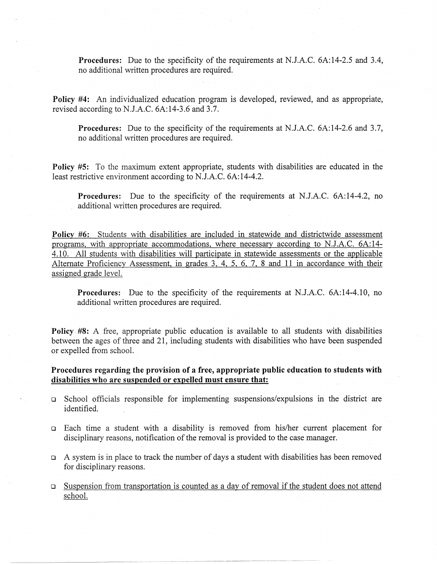**Procedures:** Due to the specificity of the requirements at N.J.A.C. 6A:14-2.5 and 3.4, no additional written procedures are required.

**Policy #4:** An individualized education program is developed, reviewed, and as appropriate, revised according to N.J.A.C. 6A:14-3.6 and 3.7.

**Procedures:** Due to the specificity of the requirements at N.J.A.C. 6A:14-2.6 and 3.7, no additional written procedures are required.

**Policy #5:** To the maximum extent appropriate, students with disabilities are educated in the least restrictive environment according to N.J.A.C. 6A:14-4.2.

**Procedures:** Due to the specificity of the requirements at N.J.A.C. 6A:14-4.2, no additional written procedures are required.

**Policy #6:** Students with disabilities are included in statewide and districtwide assessment programs, with appropriate accommodations, where necessary according to N.J.A.C. 6A:14- 4.10. All students with disabilities will participate in statewide assessments or the applicable Alternate Proficiency Assessment, in grades 3, 4, 5, 6, 7, 8 and 11 in accordance with their assigned grade level.

**Procedures:** Due to the specificity of the requirements at N.J.A.C. 6A:14-4.10, no additional written procedures are required.

**Policy\_ #8:** A free, appropriate public education is available to all students with disabilities between the ages of three and 21, including students with disabilities who have been suspended or expelled from school.

# **Procedures regarding the provision of a free, appropriate public education to students with disabilities who are suspended or expelled must ensure that:**

- $\Box$  School officials responsible for implementing suspensions/expulsions in the district are identified.
- o Each time a student with a disability is removed from his/her current placement for disciplinary reasons, notification of the removal is provided to the case manager.
- $\Box$  A system is in place to track the number of days a student with disabilities has been removed for disciplinary reasons.
- o Suspension from transportation is counted as a day of removal if the student does not attend school.

---------- -~-------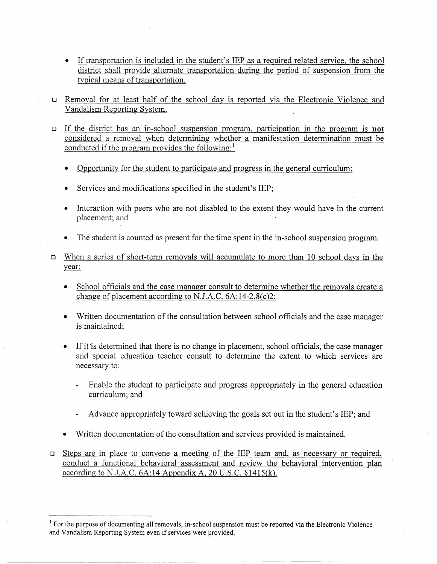- If transportation is included in the student's IEP as a required related service, the school district shall provide alternate transportation during the period of suspension from the typical means of transportation.
- o Removal for at. least half of the school day is reported via the Electronic Violence and Vandalism Reporting System.
- o If the district has an in-school suspension program, participation in the program is **not**  considered a removal when determining whether a manifestation determination must be conducted if the program provides the following: $<sup>1</sup>$ </sup>
	- Opportunity for the student to participate and progress in the general curriculum;
	- Services and modifications specified in the student's IEP;
	- Interaction with peers who are not disabled to the extent they would have in the current placement; and
	- The student is counted as present for the time spent in the in-school suspension program.
- o When a series of short-term removals will accumulate to more than 10 school days in the year:
	- School officials and the case manager consult to determine whether the removals create a change of placement according to N.J.A.C. 6A:14-2.8(c)2;
	- Written documentation of the consultation between school officials and the case manager is maintained;
	- If it is determined that there is no change in placement, school officials, the case manager and special education teacher consult to determine the extent to which services are necessary to:
		- Enable the student to participate and progress appropriately in the general education curriculum; and
		- Advance appropriately toward achieving the goals set out in the student's IEP; and
	- Written documentation of the consultation and services provided is maintained.
- o Steps are in place to convene a meeting of the IEP team and, as necessary or required, conduct a functional behavioral assessment and review the behavioral intervention plan according to N.J.A.C. 6A:14 Appendix A, 20 U.S.C. §1415(k).

<sup>&</sup>lt;sup>1</sup> For the purpose of documenting all removals, in-school suspension must be reported via the Electronic Violence and Vandalism Reporting System even if services were provided.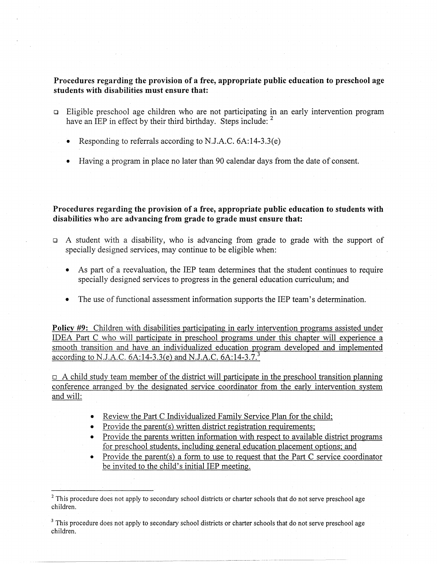**Procedures regarding the provision of a free, appropriate public education to preschool age students with disabilities must ensure that:** 

- o Eligible preschool age children who are not participating in an early intervention program have an IEP in effect by their third birthday. Steps include: <sup>2</sup>
	- Responding to referrals according to N.J.A.C. 6A:14-3.3(e)
	- Having a program in place no later than 90 calendar days from the date of consent.

**Procedures regarding the provision of a free, appropriate public education to students with disabilities who are advancing from grade to grade must ensure that:** 

- $\Box$  A student with a disability, who is advancing from grade to grade with the support of specially designed services, may continue to be eligible when:
	- As part of a reevaluation, the IEP team determines that the student continues to require specially designed services to progress in the general education curriculum; and
	- The use of functional assessment information supports the IEP team's determination.

**Policy #9:** Children with disabilities participating in early intervention programs assisted under IDEA Part C who will participate in preschool programs under this chapter will experience a smooth transition and have an individualized education program developed and implemented according to N.J.A.C. 6A:14-3.3(e) and N.J.A.C. 6A:14-3.7.<sup>3</sup>

 $\Box$  A child study team member of the district will participate in the preschool transition planning conference arranged by the designated service coordinator from the early intervention system and will:

- Review the Part C Individualized Family Service Plan for the child;
- Provide the parent(s) written district registration requirements;
- Provide the parents written information with respect to available district programs for preschool students, including general education placement options; and
- Provide the parent(s) a form to use to request that the Part C service coordinator be invited to the child's initial IEP meeting.

<sup>&</sup>lt;sup>2</sup> This procedure does not apply to secondary school districts or charter schools that do not serve preschool age children.

 $3$  This procedure does not apply to secondary school districts or charter schools that do not serve preschool age children.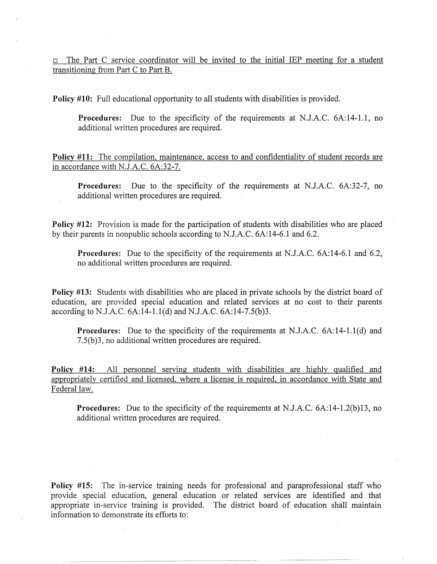$\Box$  The Part C service coordinator will be invited to the initial IEP meeting for a student transitioning from Part C to Part B.

**Policy #10:** Full educational opportunity to all students with disabilities is provided.

**Procedures:** Due to the specificity of the requirements at N.J.A.C. 6A:14-l.1, no additional written procedures are required.

**Policy #11:** The compilation, maintenance, access to and confidentiality of student records are in accordance with N.J.A.C. 6A:32-7.

**Procedures:** Due to the specificity of the requirements at N.J.A.C. 6A:32-7, no additional written procedures are required.

**Policy #12:** Provision is made for the participation of students with disabilities who are placed by their parents in nonpublic schools according to N.J.A.C. 6A:14-6.l and 6.2.

**Procedures:** Due to the specificity of the requirements at N.J.A.C. 6A:14-6.1 and 6.2, no additional written procedures are required.

**Policy #13:** Students with disabilities who are placed in private schools by the district board of education, are provided special education and related services at no cost to their parents according to N.J.A.C. 6A:14-l.l(d) and N.J.A.C. 6A:14-7.5(b)3.

**Procedures:** Due to the specificity of the requirements at N.J.A.C. 6A:14-1.1(d) and 7.5(b)3, no additional written procedures are required.

**Policy #14:** All personnel serving students with disabilities are highly qualified and appropriately certified and licensed, where a license is required, in accordance with State and Federal law.

**Procedures:** Due to the specificity of the requirements at N.J.A.C. 6A:14-1.2(b)13, no additional written procedures are required.

**Policy #15:** The in-service training needs for professional and paraprofessional staff who provide special education, general education or related services are identified and that appropriate in-service training is provided. The district board of education shall maintain information to demonstrate its efforts to:

--------------~ --~--- -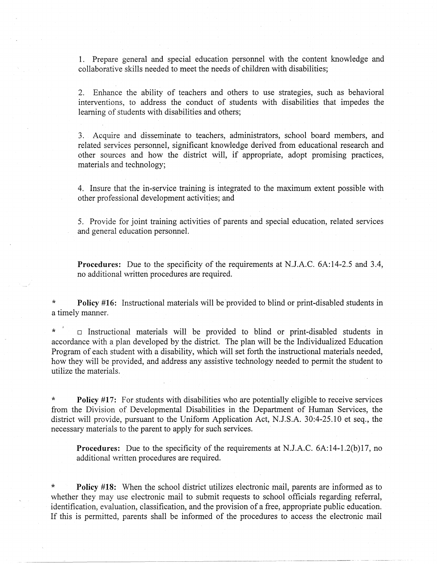1. Prepare general and special education personnel with the content knowledge and collaborative skills needed to meet the needs of children with disabilities;

2. Enhance the ability of teachers and others to use strategies, such as behavioral interventions, to address the conduct of students with disabilities that impedes the learning of students with disabilities and others;

3. Acquire and disseminate to teachers, administrators, school board members, and related services personnel, significant knowledge derived from educational research and other sources and how the district will, if appropriate, adopt promising practices, materials and technology;

4. Insure that the in-service training is integrated to the maximum extent possible with other professional development activities; and

5. Provide for joint training activities of parents and special education, related services and general education personnel.

**Procedures:** Due to the specificity of the requirements at N.J.A.C. 6A:14-2.5 and 3.4, no additional written procedures are required.

**Policy #16:** Instructional materials will be provided to blind or print-disabled students in a timely manner.

\*  $\Box$  Instructional materials will be provided to blind or print-disabled students in accordance with a plan developed by the district. The plan will be the Individualized Education Program of each student with a disability, which will set forth the instructional materials needed, how they will be provided, and address any assistive technology needed to permit the student to utilize the materials.

\* **Policy #17:** For students with disabilities who are potentially eligible to receive services from the Division of Developmental Disabilities in the Department of Human Services, the district will provide, pursuant to the Uniform Application Act, N.J.S.A. 30:4-25.10 et seq., the necessary materials to the parent to apply for such services.

**Procedures:** Due to the specificity of the requirements at N.J.A.C. 6A:14-1.2(b)l7, no additional written procedures are required.

**Policy #18:** When the school district utilizes electronic mail, parents are informed as to whether they may use electronic mail to submit requests to school officials regarding referral, identification, evaluation, classification, and the provision of a free, appropriate public education. If this is permitted, parents shall be informed of the procedures to access the electronic mail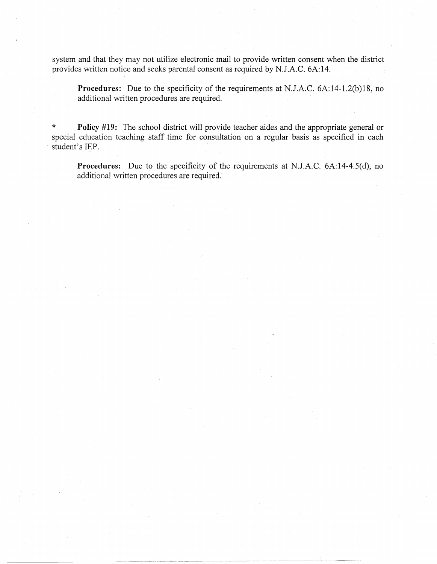system and that they may not utilize electronic mail to provide written consent when the district provides written notice and seeks parental consent as required by N.J.A.C. 6A:14.

**Procedures:** Due to the specificity of the requirements at N.J.A.C. 6A:14-1.2(b)18, no additional written procedures are required.

\* **Policy #19:** The school district will provide teacher aides and the appropriate general or special education teaching staff time for consultation on a regular basis as specified in each student's IEP.

---------------------~-

**Procedures:** Due to the specificity of the requirements at N.J.A.C. 6A:14-4.5(d), no additional written procedures are required.